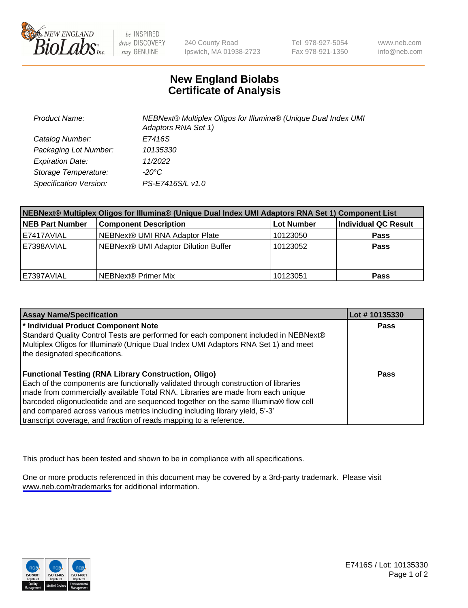

be INSPIRED drive DISCOVERY stay GENUINE

240 County Road Ipswich, MA 01938-2723 Tel 978-927-5054 Fax 978-921-1350

www.neb.com info@neb.com

## **New England Biolabs Certificate of Analysis**

| <b>Product Name:</b>    | NEBNext® Multiplex Oligos for Illumina® (Unique Dual Index UMI<br>Adaptors RNA Set 1) |
|-------------------------|---------------------------------------------------------------------------------------|
| Catalog Number:         | E7416S                                                                                |
| Packaging Lot Number:   | 10135330                                                                              |
| <b>Expiration Date:</b> | 11/2022                                                                               |
| Storage Temperature:    | -20°C                                                                                 |
| Specification Version:  | PS-E7416S/L v1.0                                                                      |

| NEBNext® Multiplex Oligos for Illumina® (Unique Dual Index UMI Adaptors RNA Set 1) Component List |                                      |            |                      |  |
|---------------------------------------------------------------------------------------------------|--------------------------------------|------------|----------------------|--|
| <b>NEB Part Number</b>                                                                            | <b>Component Description</b>         | Lot Number | Individual QC Result |  |
| E7417AVIAL                                                                                        | NEBNext® UMI RNA Adaptor Plate       | 10123050   | <b>Pass</b>          |  |
| E7398AVIAL                                                                                        | NEBNext® UMI Adaptor Dilution Buffer | 10123052   | <b>Pass</b>          |  |
| E7397AVIAL                                                                                        | l NEBNext® Primer Mix                | 10123051   | <b>Pass</b>          |  |

| <b>Assay Name/Specification</b>                                                                                                                                            | Lot #10135330 |
|----------------------------------------------------------------------------------------------------------------------------------------------------------------------------|---------------|
| * Individual Product Component Note                                                                                                                                        | <b>Pass</b>   |
| Standard Quality Control Tests are performed for each component included in NEBNext®<br>Multiplex Oligos for Illumina® (Unique Dual Index UMI Adaptors RNA Set 1) and meet |               |
| the designated specifications.                                                                                                                                             |               |
| <b>Functional Testing (RNA Library Construction, Oligo)</b>                                                                                                                | Pass          |
| Each of the components are functionally validated through construction of libraries                                                                                        |               |
| made from commercially available Total RNA. Libraries are made from each unique                                                                                            |               |
| barcoded oligonucleotide and are sequenced together on the same Illumina® flow cell<br>and compared across various metrics including including library yield, 5'-3'        |               |
| transcript coverage, and fraction of reads mapping to a reference.                                                                                                         |               |

This product has been tested and shown to be in compliance with all specifications.

One or more products referenced in this document may be covered by a 3rd-party trademark. Please visit <www.neb.com/trademarks>for additional information.